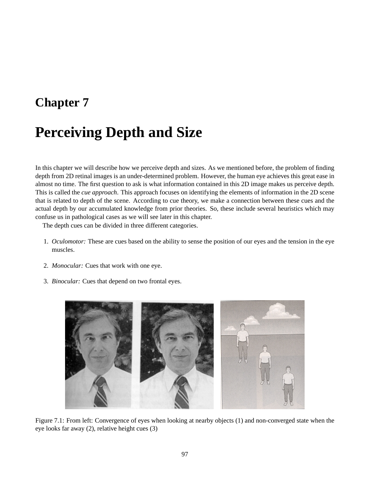# **Chapter 7**

# **Perceiving Depth and Size**

In this chapter we will describe how we perceive depth and sizes. As we mentioned before, the problem of finding depth from 2D retinal images is an under-determined problem. However, the human eye achieves this great ease in almost no time. The first question to ask is what information contained in this 2D image makes us perceive depth. This is called the *cue approach*. This approach focuses on identifying the elements of information in the 2D scene that is related to depth of the scene. According to cue theory, we make a connection between these cues and the actual depth by our accumulated knowledge from prior theories. So, these include several heuristics which may confuse us in pathological cases as we will see later in this chapter.

The depth cues can be divided in three different categories.

- 1. *Oculomotor:* These are cues based on the ability to sense the position of our eyes and the tension in the eye muscles.
- 2. *Monocular:* Cues that work with one eye.
- 3. *Binocular:* Cues that depend on two frontal eyes.



Figure 7.1: From left: Convergence of eyes when looking at nearby objects (1) and non-converged state when the eye looks far away (2), relative height cues (3)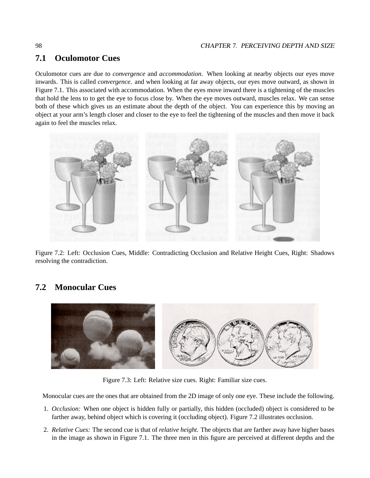## **7.1 Oculomotor Cues**

Oculomotor cues are due to *convergence* and *accommodation*. When looking at nearby objects our eyes move inwards. This is called *convergence*. and when looking at far away objects, our eyes move outward, as shown in Figure 7.1. This associated with accommodation. When the eyes move inward there is a tightening of the muscles that hold the lens to to get the eye to focus close by. When the eye moves outward, muscles relax. We can sense both of these which gives us an estimate about the depth of the object. You can experience this by moving an object at your arm's length closer and closer to the eye to feel the tightening of the muscles and then move it back again to feel the muscles relax.



Figure 7.2: Left: Occlusion Cues, Middle: Contradicting Occlusion and Relative Height Cues, Right: Shadows resolving the contradiction.

## **7.2 Monocular Cues**



Figure 7.3: Left: Relative size cues. Right: Familiar size cues.

Monocular cues are the ones that are obtained from the 2D image of only one eye. These include the following.

- 1. *Occlusion:* When one object is hidden fully or partially, this hidden (occluded) object is considered to be farther away, behind object which is covering it (occluding object). Figure 7.2 illustrates occlusion.
- 2. *Relative Cues:* The second cue is that of *relative height*. The objects that are farther away have higher bases in the image as shown in Figure 7.1. The three men in this figure are perceived at different depths and the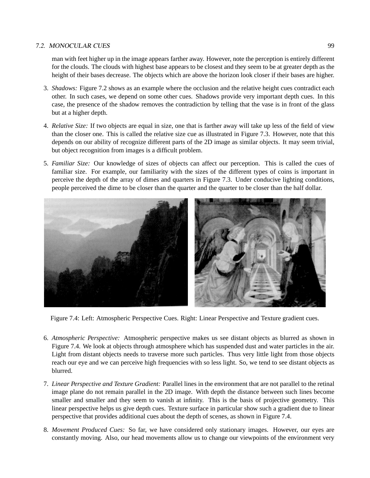#### 7.2. MONOCULAR CUES 99

man with feet higher up in the image appears farther away. However, note the perception is entirely different for the clouds. The clouds with highest base appears to be closest and they seem to be at greater depth as the height of their bases decrease. The objects which are above the horizon look closer if their bases are higher.

- 3. *Shadows:* Figure 7.2 shows as an example where the occlusion and the relative height cues contradict each other. In such cases, we depend on some other cues. Shadows provide very important depth cues. In this case, the presence of the shadow removes the contradiction by telling that the vase is in front of the glass but at a higher depth.
- 4. *Relative Size:* If two objects are equal in size, one that is farther away will take up less of the field of view than the closer one. This is called the relative size cue as illustrated in Figure 7.3. However, note that this depends on our ability of recognize different parts of the 2D image as similar objects. It may seem trivial, but object recognition from images is a difficult problem.
- 5. *Familiar Size:* Our knowledge of sizes of objects can affect our perception. This is called the cues of familiar size. For example, our familiarity with the sizes of the different types of coins is important in perceive the depth of the array of dimes and quarters in Figure 7.3. Under conducive lighting conditions, people perceived the dime to be closer than the quarter and the quarter to be closer than the half dollar.



Figure 7.4: Left: Atmospheric Perspective Cues. Right: Linear Perspective and Texture gradient cues.

- 6. *Atmospheric Perspective:* Atmospheric perspective makes us see distant objects as blurred as shown in Figure 7.4. We look at objects through atmosphere which has suspended dust and water particles in the air. Light from distant objects needs to traverse more such particles. Thus very little light from those objects reach our eye and we can perceive high frequencies with so less light. So, we tend to see distant objects as blurred.
- 7. *Linear Perspective and Texture Gradient:* Parallel lines in the environment that are not parallel to the retinal image plane do not remain parallel in the 2D image. With depth the distance between such lines become smaller and smaller and they seem to vanish at infinity. This is the basis of projective geometry. This linear perspective helps us give depth cues. Texture surface in particular show such a gradient due to linear perspective that provides additional cues about the depth of scenes, as shown in Figure 7.4.
- 8. *Movement Produced Cues:* So far, we have considered only stationary images. However, our eyes are constantly moving. Also, our head movements allow us to change our viewpoints of the environment very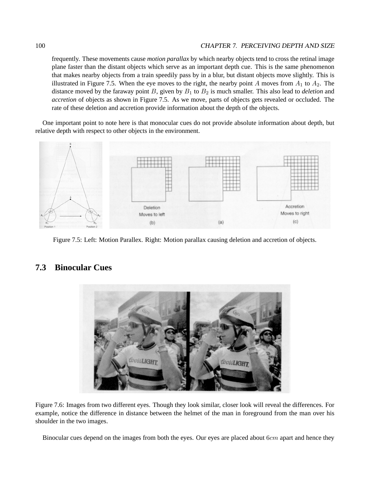#### 100 CHAPTER 7. PERCEIVING DEPTH AND SIZE

frequently. These movements cause *motion parallax* by which nearby objects tend to cross the retinal image plane faster than the distant objects which serve as an important depth cue. This is the same phenomenon that makes nearby objects from a train speedily pass by in a blur, but distant objects move slightly. This is illustrated in Figure 7.5. When the eye moves to the right, the nearby point A moves from  $A_1$  to  $A_2$ . The distance moved by the faraway point  $B$ , given by  $B_1$  to  $B_2$  is much smaller. This also lead to *deletion* and *accretion* of objects as shown in Figure 7.5. As we move, parts of objects gets revealed or occluded. The rate of these deletion and accretion provide information about the depth of the objects.

One important point to note here is that monocular cues do not provide absolute information about depth, but relative depth with respect to other objects in the environment.



Figure 7.5: Left: Motion Parallex. Right: Motion parallax causing deletion and accretion of objects.

### **7.3 Binocular Cues**



Figure 7.6: Images from two different eyes. Though they look similar, closer look will reveal the differences. For example, notice the difference in distance between the helmet of the man in foreground from the man over his shoulder in the two images.

Binocular cues depend on the images from both the eyes. Our eyes are placed about  $6cm$  apart and hence they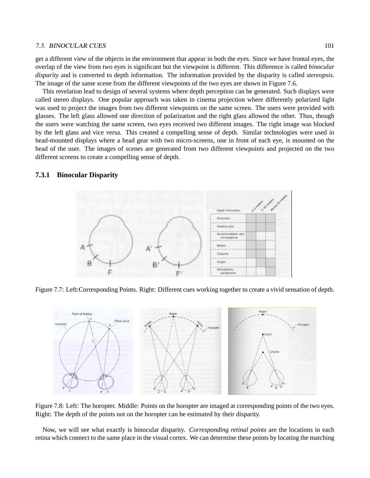#### 7.3. BINOCULAR CUES 101

get a different view of the objects in the environment that appear in both the eyes. Since we have frontal eyes, the overlap of the view from two eyes is significant but the viewpoint is different. This difference is called *binocular disparity* and is converted to depth information. The information provided by the disparity is called *stereopsis*. The image of the same scene from the different viewpoints of the two eyes are shown in Figure 7.6.

This revelation lead to design of several systems where depth perception can be generated. Such displays were called stereo displays. One popular approach was taken in cinema projection where differently polarized light was used to project the images from two different viewpoints on the same screen. The users were provided with glasses. The left glass allowed one direction of polarization and the right glass allowed the other. Thus, though the users were watching the same screen, two eyes received two different images. The right image was blocked by the left glass and vice versa. This created a compelling sense of depth. Similar technologies were used in head-mounted displays where a head gear with two micro-screens, one in front of each eye, is mounted on the head of the user. The images of scenes are generated from two different viewpoints and projected on the two different screens to create a compelling sense of depth.

#### **7.3.1 Binocular Disparity**



Figure 7.7: Left:Corresponding Points. Right: Different cues working together to create a vivid sensation of depth.



Figure 7.8: Left: The horopter. Middle: Points on the horopter are imaged at corresponding points of the two eyes. Right: The depth of the points not on the horopter can be estimated by their disparity.

Now, we will see what exactly is binocular disparity. *Corresponding retinal points* are the locations in each retina which connect to the same place in the visual cortex. We can determine these points by locating the matching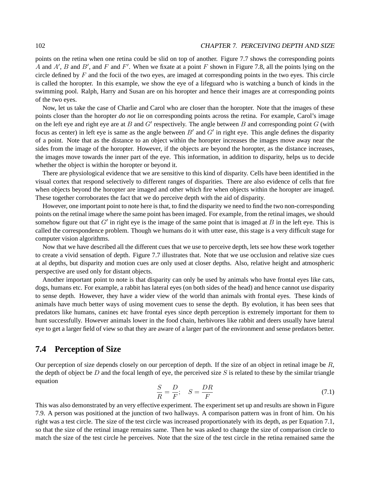#### 102 CHAPTER 7. PERCEIVING DEPTH AND SIZE

points on the retina when one retina could be slid on top of another. Figure 7.7 shows the corresponding points A and A', B and B', and F and F'. When we fixate at a point F shown in Figure 7.8, all the points lying on the circle defined by  $F$  and the focii of the two eyes, are imaged at corresponding points in the two eyes. This circle is called the horopter. In this example, we show the eye of a lifeguard who is watching a bunch of kinds in the swimming pool. Ralph, Harry and Susan are on his horopter and hence their images are at corresponding points of the two eyes.

Now, let us take the case of Charlie and Carol who are closer than the horopter. Note that the images of these points closer than the horopter *do not* lie on corresponding points across the retina. For example, Carol's image on the left eye and right eye are at B and  $G'$  respectively. The angle between B and corresponding point  $G$  (with focus as center) in left eye is same as the angle between  $B'$  and  $G'$  in right eye. This angle defines the disparity of a point. Note that as the distance to an object within the horopter increases the images move away near the sides from the image of the horopter. However, if the objects are beyond the horopter, as the distance increases, the images move towards the inner part of the eye. This information, in addition to disparity, helps us to decide whether the object is within the horopter or beyond it.

There are physiological evidence that we are sensitive to this kind of disparity. Cells have been identified in the visual cortex that respond selectively to different ranges of disparities. There are also evidence of cells that fire when objects beyond the horopter are imaged and other which fire when objects within the horopter are imaged. These together corroborates the fact that we do perceive depth with the aid of disparity.

However, one important point to note here is that, to find the disparity we need to find the two non-corresponding points on the retinal image where the same point has been imaged. For example, from the retinal images, we should somehow figure out that  $G'$  in right eye is the image of the same point that is imaged at  $B$  in the left eye. This is called the correspondence problem. Though we humans do it with utter ease, this stage is a very difficult stage for computer vision algorithms.

Now that we have described all the different cues that we use to perceive depth, lets see how these work together to create a vivid sensation of depth. Figure 7.7 illustrates that. Note that we use occlusion and relative size cues at al depths, but disparity and motion cues are only used at closer depths. Also, relative height and atmospheric perspective are used only for distant objects.

Another important point to note is that disparity can only be used by animals who have frontal eyes like cats, dogs, humans etc. For example, a rabbit has lateral eyes (on both sides of the head) and hence cannot use disparity to sense depth. However, they have a wider view of the world than animals with frontal eyes. These kinds of animals have much better ways of using movement cues to sense the depth. By evolution, it has been sees that predators like humans, canines etc have frontal eyes since depth perception is extremely important for them to hunt successfully. However animals lower in the food chain, herbivores like rabbit and deers usually have lateral eye to get a larger field of view so that they are aware of a larger part of the environment and sense predators better.

### **7.4 Perception of Size**

Our perception of size depends closely on our perception of depth. If the size of an object in retinal image be  $R$ , the depth of object be D and the focal length of eye, the perceived size S is related to these by the similar triangle equation

$$
\frac{S}{R} = \frac{D}{F}; \quad S = \frac{DR}{F}
$$
\n(7.1)

This was also demonstrated by an very effective experiment. The experiment set up and results are shown in Figure 7.9. A person was positioned at the junction of two hallways. A comparison pattern was in front of him. On his right was a test circle. The size of the test circle was increased proportionately with its depth, as per Equation 7.1, so that the size of the retinal image remains same. Then he was asked to change the size of comparison circle to match the size of the test circle he perceives. Note that the size of the test circle in the retina remained same the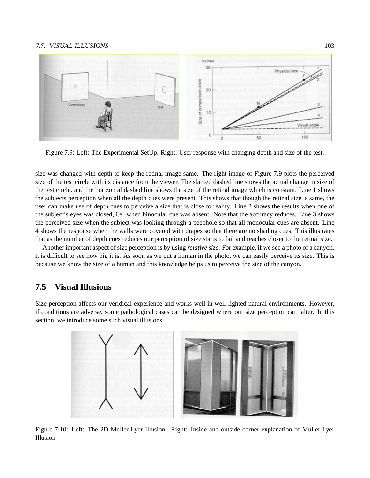#### 7.5. VISUAL ILLUSIONS 103



Figure 7.9: Left: The Experimental SetUp. Right: User response with changing depth and size of the test.

size was changed with depth to keep the retinal image same. The right image of Figure 7.9 plots the perceived size of the test circle with its distance from the viewer. The slanted dashed line shows the actual change in size of the test circle, and the horizontal dashed line shows the size of the retinal image which is constant. Line 1 shows the subjects perception when all the depth cues were present. This shows that though the retinal size is same, the user can make use of depth cues to perceive a size that is close to reality. Line 2 shows the results when one of the subject's eyes was closed, i.e. when binocular cue was absent. Note that the accuracy reduces. Line 3 shows the perceived size when the subject was looking through a peephole so that all monocular cues are absent. Line 4 shows the response when the walls were covered with drapes so that there are no shading cues. This illustrates that as the number of depth cues reduces our perception of size starts to fail and reaches closer to the retinal size.

Another important aspect of size perception is by using *relative size*. For example, if we see a photo of a canyon, it is difficult to see how big it is. As soon as we put a human in the photo, we can easily perceive its size. This is because we know the size of a human and this knowledge helps us to perceive the size of the canyon.

### **7.5 Visual Illusions**

Size perception affects our veridical experience and works well in well-lighted natural environments. However, if conditions are adverse, some pathological cases can be designed where our size perception can falter. In this section, we introduce some such visual illusions.



Figure 7.10: Left: The 2D Muller-Lyer Illusion. Right: Inside and outside corner explanation of Muller-Lyer Illusion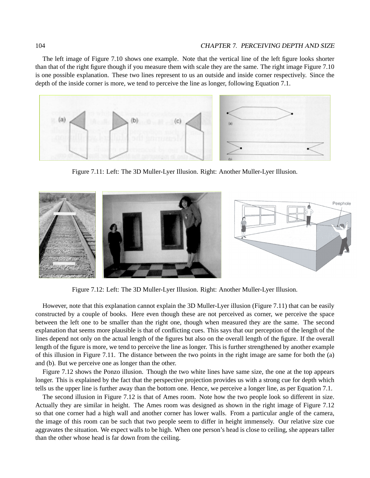#### 104 CHAPTER 7. PERCEIVING DEPTH AND SIZE

The left image of Figure 7.10 shows one example. Note that the vertical line of the left figure looks shorter than that of the right figure though if you measure them with scale they are the same. The right image Figure 7.10 is one possible explanation. These two lines represent to us an outside and inside corner respectively. Since the depth of the inside corner is more, we tend to perceive the line as longer, following Equation 7.1.



Figure 7.11: Left: The 3D Muller-Lyer Illusion. Right: Another Muller-Lyer Illusion.



Figure 7.12: Left: The 3D Muller-Lyer Illusion. Right: Another Muller-Lyer Illusion.

However, note that this explanation cannot explain the 3D Muller-Lyer illusion (Figure 7.11) that can be easily constructed by a couple of books. Here even though these are not perceived as corner, we perceive the space between the left one to be smaller than the right one, though when measured they are the same. The second explanation that seems more plausible is that of conflicting cues. This says that our perception of the length of the lines depend not only on the actual length of the figures but also on the overall length of the figure. If the overall length of the figure is more, we tend to perceive the line as longer. This is further strengthened by another example of this illusion in Figure 7.11. The distance between the two points in the right image are same for both the (a) and (b). But we perceive one as longer than the other.

Figure 7.12 shows the Ponzo illusion. Though the two white lines have same size, the one at the top appears longer. This is explained by the fact that the perspective projection provides us with a strong cue for depth which tells us the upper line is further away than the bottom one. Hence, we perceive a longer line, as per Equation 7.1.

The second illusion in Figure 7.12 is that of Ames room. Note how the two people look so different in size. Actually they are similar in height. The Ames room was designed as shown in the right image of Figure 7.12 so that one corner had a high wall and another corner has lower walls. From a particular angle of the camera, the image of this room can be such that two people seem to differ in height immensely. Our relative size cue aggravates the situation. We expect walls to be high. When one person's head is close to ceiling, she appears taller than the other whose head is far down from the ceiling.